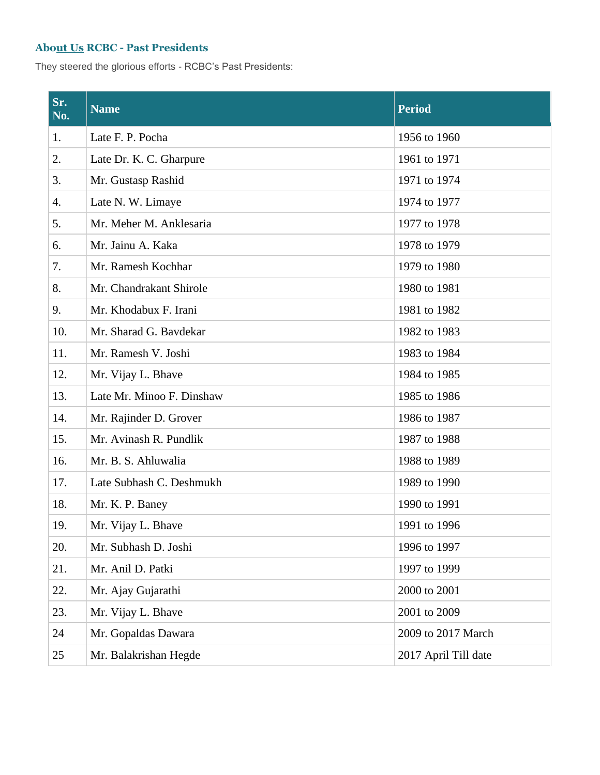## **About [Us](file://///erpserver1/Support/godaddy%20login%20details/Website%20Proposal/My%20Web%20Sites/boatclub/www.boatclubpune.com/about-us.html) RCBC - Past Presidents**

They steered the glorious efforts - RCBC's Past Presidents:

| Sr.<br>No. | <b>Name</b>               | <b>Period</b>        |
|------------|---------------------------|----------------------|
| 1.         | Late F. P. Pocha          | 1956 to 1960         |
| 2.         | Late Dr. K. C. Gharpure   | 1961 to 1971         |
| 3.         | Mr. Gustasp Rashid        | 1971 to 1974         |
| 4.         | Late N. W. Limaye         | 1974 to 1977         |
| 5.         | Mr. Meher M. Anklesaria   | 1977 to 1978         |
| 6.         | Mr. Jainu A. Kaka         | 1978 to 1979         |
| 7.         | Mr. Ramesh Kochhar        | 1979 to 1980         |
| 8.         | Mr. Chandrakant Shirole   | 1980 to 1981         |
| 9.         | Mr. Khodabux F. Irani     | 1981 to 1982         |
| 10.        | Mr. Sharad G. Bavdekar    | 1982 to 1983         |
| 11.        | Mr. Ramesh V. Joshi       | 1983 to 1984         |
| 12.        | Mr. Vijay L. Bhave        | 1984 to 1985         |
| 13.        | Late Mr. Minoo F. Dinshaw | 1985 to 1986         |
| 14.        | Mr. Rajinder D. Grover    | 1986 to 1987         |
| 15.        | Mr. Avinash R. Pundlik    | 1987 to 1988         |
| 16.        | Mr. B. S. Ahluwalia       | 1988 to 1989         |
| 17.        | Late Subhash C. Deshmukh  | 1989 to 1990         |
| 18.        | Mr. K. P. Baney           | 1990 to 1991         |
| 19.        | Mr. Vijay L. Bhave        | 1991 to 1996         |
| 20.        | Mr. Subhash D. Joshi      | 1996 to 1997         |
| 21.        | Mr. Anil D. Patki         | 1997 to 1999         |
| 22.        | Mr. Ajay Gujarathi        | 2000 to 2001         |
| 23.        | Mr. Vijay L. Bhave        | 2001 to 2009         |
| 24         | Mr. Gopaldas Dawara       | 2009 to 2017 March   |
| 25         | Mr. Balakrishan Hegde     | 2017 April Till date |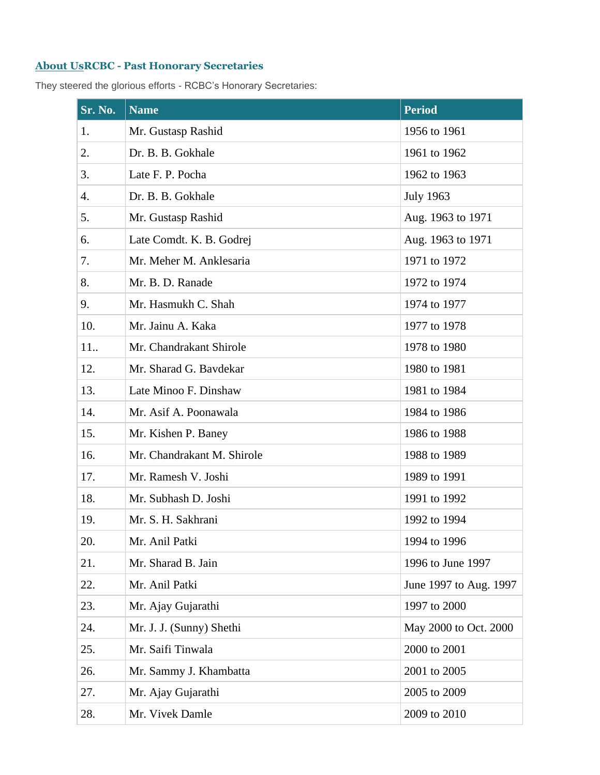## **[About](file://///erpserver1/Support/godaddy%20login%20details/Website%20Proposal/My%20Web%20Sites/boatclub/www.boatclubpune.com/about-us.html) UsRCBC - Past Honorary Secretaries**

They steered the glorious efforts - RCBC's Honorary Secretaries:

| $Sr.$ No. | <b>Name</b>                | <b>Period</b>          |
|-----------|----------------------------|------------------------|
| 1.        | Mr. Gustasp Rashid         | 1956 to 1961           |
| 2.        | Dr. B. B. Gokhale          | 1961 to 1962           |
| 3.        | Late F. P. Pocha           | 1962 to 1963           |
| 4.        | Dr. B. B. Gokhale          | <b>July 1963</b>       |
| 5.        | Mr. Gustasp Rashid         | Aug. 1963 to 1971      |
| 6.        | Late Comdt. K. B. Godrej   | Aug. 1963 to 1971      |
| 7.        | Mr. Meher M. Anklesaria    | 1971 to 1972           |
| 8.        | Mr. B. D. Ranade           | 1972 to 1974           |
| 9.        | Mr. Hasmukh C. Shah        | 1974 to 1977           |
| 10.       | Mr. Jainu A. Kaka          | 1977 to 1978           |
| 11.       | Mr. Chandrakant Shirole    | 1978 to 1980           |
| 12.       | Mr. Sharad G. Bavdekar     | 1980 to 1981           |
| 13.       | Late Minoo F. Dinshaw      | 1981 to 1984           |
| 14.       | Mr. Asif A. Poonawala      | 1984 to 1986           |
| 15.       | Mr. Kishen P. Baney        | 1986 to 1988           |
| 16.       | Mr. Chandrakant M. Shirole | 1988 to 1989           |
| 17.       | Mr. Ramesh V. Joshi        | 1989 to 1991           |
| 18.       | Mr. Subhash D. Joshi       | 1991 to 1992           |
| 19.       | Mr. S. H. Sakhrani         | 1992 to 1994           |
| 20.       | Mr. Anil Patki             | 1994 to 1996           |
| 21.       | Mr. Sharad B. Jain         | 1996 to June 1997      |
| 22.       | Mr. Anil Patki             | June 1997 to Aug. 1997 |
| 23.       | Mr. Ajay Gujarathi         | 1997 to 2000           |
| 24.       | Mr. J. J. (Sunny) Shethi   | May 2000 to Oct. 2000  |
| 25.       | Mr. Saifi Tinwala          | 2000 to 2001           |
| 26.       | Mr. Sammy J. Khambatta     | 2001 to 2005           |
| 27.       | Mr. Ajay Gujarathi         | 2005 to 2009           |
| 28.       | Mr. Vivek Damle            | 2009 to 2010           |